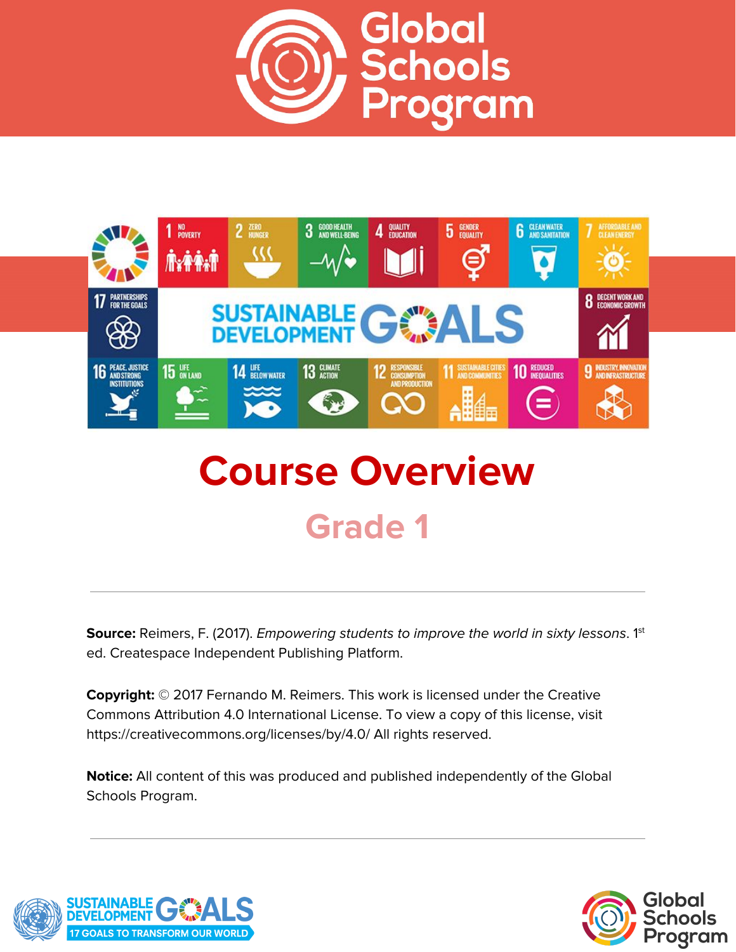



# **Course Overview Grade 1**

**Source:** Reimers, F. (2017). *Empowering students to improve the world in sixty lessons.* 1<sup>st</sup> ed. Createspace Independent Publishing Platform.

**Copyright:** © 2017 Fernando M. Reimers. This work is licensed under the Creative Commons Attribution 4.0 International License. To view a copy of this license, visit https://creativecommons.org/licenses/by/4.0/ All rights reserved.

**Notice:** All content of this was produced and published independently of the Global Schools Program.



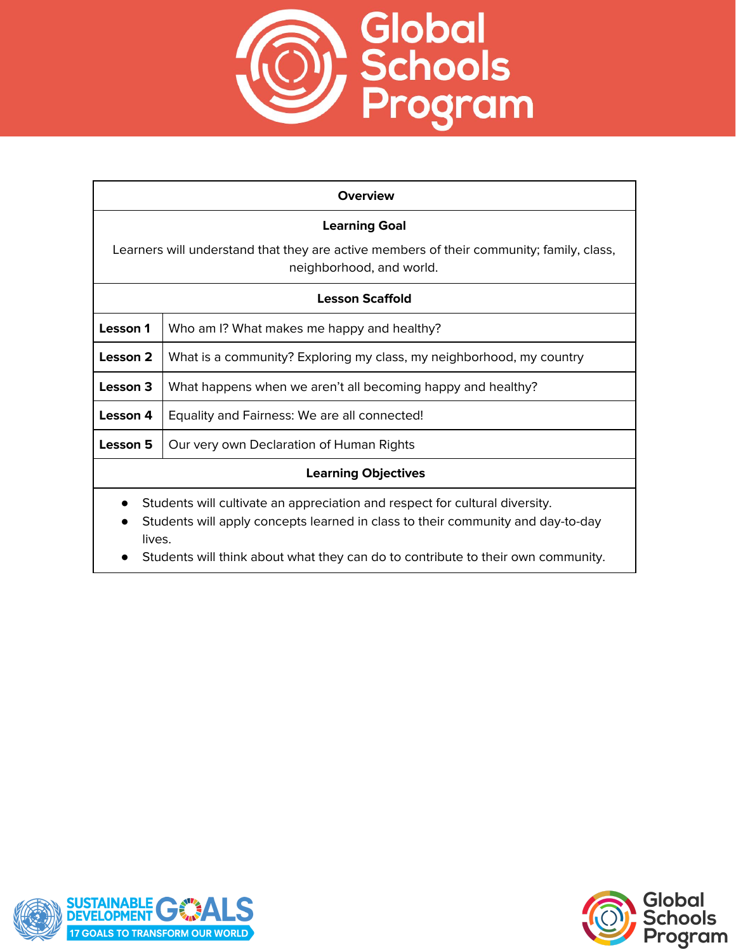

| <b>Overview</b>                                                                                                                                                          |                                                                      |
|--------------------------------------------------------------------------------------------------------------------------------------------------------------------------|----------------------------------------------------------------------|
| <b>Learning Goal</b>                                                                                                                                                     |                                                                      |
| Learners will understand that they are active members of their community; family, class,<br>neighborhood, and world.                                                     |                                                                      |
| <b>Lesson Scaffold</b>                                                                                                                                                   |                                                                      |
| Lesson 1                                                                                                                                                                 | Who am I? What makes me happy and healthy?                           |
| Lesson 2                                                                                                                                                                 | What is a community? Exploring my class, my neighborhood, my country |
| Lesson 3                                                                                                                                                                 | What happens when we aren't all becoming happy and healthy?          |
| Lesson 4                                                                                                                                                                 | Equality and Fairness: We are all connected!                         |
| Lesson 5                                                                                                                                                                 | Our very own Declaration of Human Rights                             |
| <b>Learning Objectives</b>                                                                                                                                               |                                                                      |
| Students will cultivate an appreciation and respect for cultural diversity.<br>Students will apply concepts learned in class to their community and day-to-day<br>lives. |                                                                      |

● Students will think about what they can do to contribute to their own community.



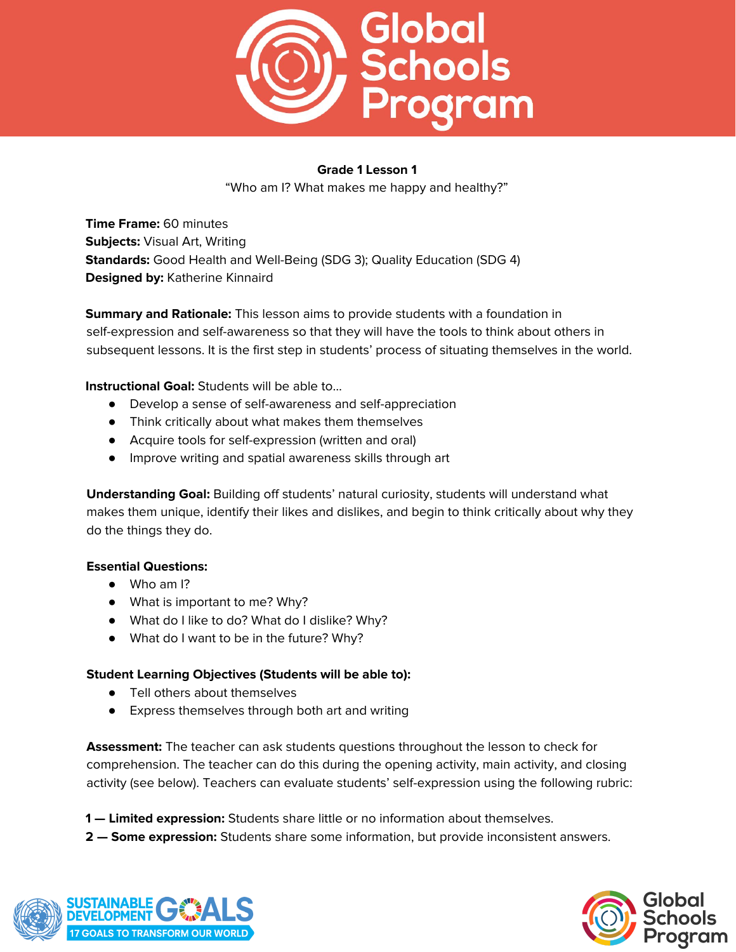

"Who am I? What makes me happy and healthy?"

**Time Frame:** 60 minutes **Subjects:** Visual Art, Writing **Standards:** Good Health and Well-Being (SDG 3); Quality Education (SDG 4) **Designed by:** Katherine Kinnaird

**Summary and Rationale:** This lesson aims to provide students with a foundation in self-expression and self-awareness so that they will have the tools to think about others in subsequent lessons. It is the first step in students' process of situating themselves in the world.

**Instructional Goal:** Students will be able to…

- Develop a sense of self-awareness and self-appreciation
- Think critically about what makes them themselves
- Acquire tools for self-expression (written and oral)
- Improve writing and spatial awareness skills through art

**Understanding Goal:** Building off students' natural curiosity, students will understand what makes them unique, identify their likes and dislikes, and begin to think critically about why they do the things they do.

#### **Essential Questions:**

- Who am I?
- What is important to me? Why?
- What do I like to do? What do I dislike? Why?
- What do I want to be in the future? Why?

#### **Student Learning Objectives (Students will be able to):**

- Tell others about themselves
- Express themselves through both art and writing

**Assessment:** The teacher can ask students questions throughout the lesson to check for comprehension. The teacher can do this during the opening activity, main activity, and closing activity (see below). Teachers can evaluate students' self-expression using the following rubric:

- **1 — Limited expression:** Students share little or no information about themselves.
- **2 — Some expression:** Students share some information, but provide inconsistent answers.



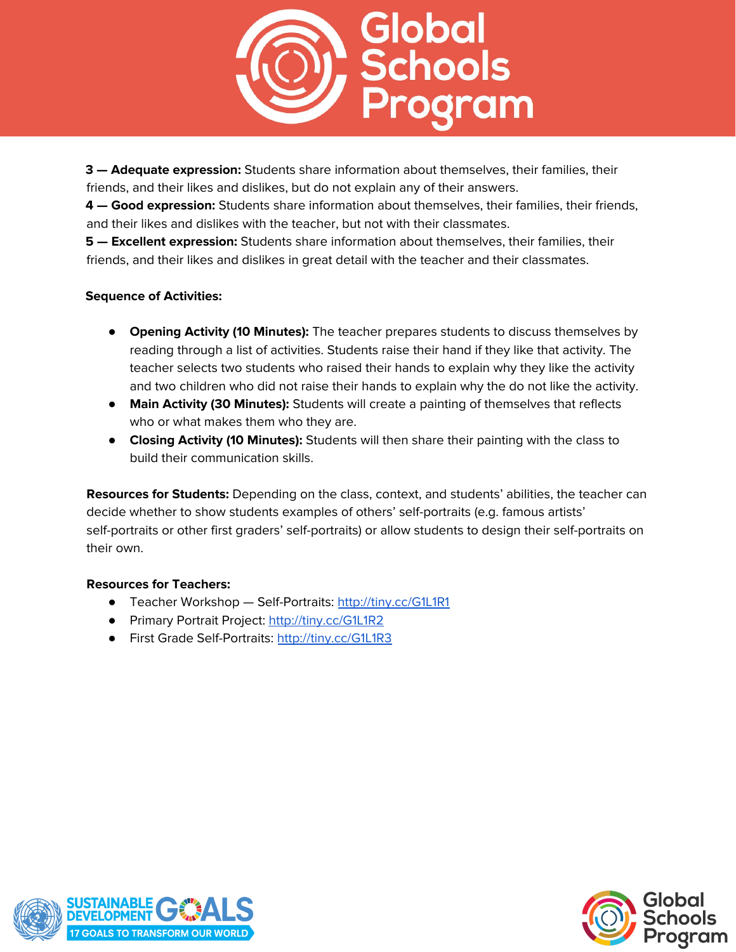

**3 — Adequate expression:** Students share information about themselves, their families, their friends, and their likes and dislikes, but do not explain any of their answers.

**4 — Good expression:** Students share information about themselves, their families, their friends, and their likes and dislikes with the teacher, but not with their classmates.

**5 — Excellent expression:** Students share information about themselves, their families, their friends, and their likes and dislikes in great detail with the teacher and their classmates.

#### **Sequence of Activities:**

- **Opening Activity (10 Minutes):** The teacher prepares students to discuss themselves by reading through a list of activities. Students raise their hand if they like that activity. The teacher selects two students who raised their hands to explain why they like the activity and two children who did not raise their hands to explain why the do not like the activity.
- **Main Activity (30 Minutes):** Students will create a painting of themselves that reflects who or what makes them who they are.
- **Closing Activity (10 Minutes):** Students will then share their painting with the class to build their communication skills.

**Resources for Students:** Depending on the class, context, and students' abilities, the teacher can decide whether to show students examples of others' self-portraits (e.g. famous artists' self-portraits or other first graders' self-portraits) or allow students to design their self-portraits on their own.

#### **Resources for Teachers:**

- Teacher Workshop Self-Portraits: <http://tiny.cc/G1L1R1>
- Primary Portrait Project: <http://tiny.cc/G1L1R2>
- First Grade Self-Portraits: <http://tiny.cc/G1L1R3>



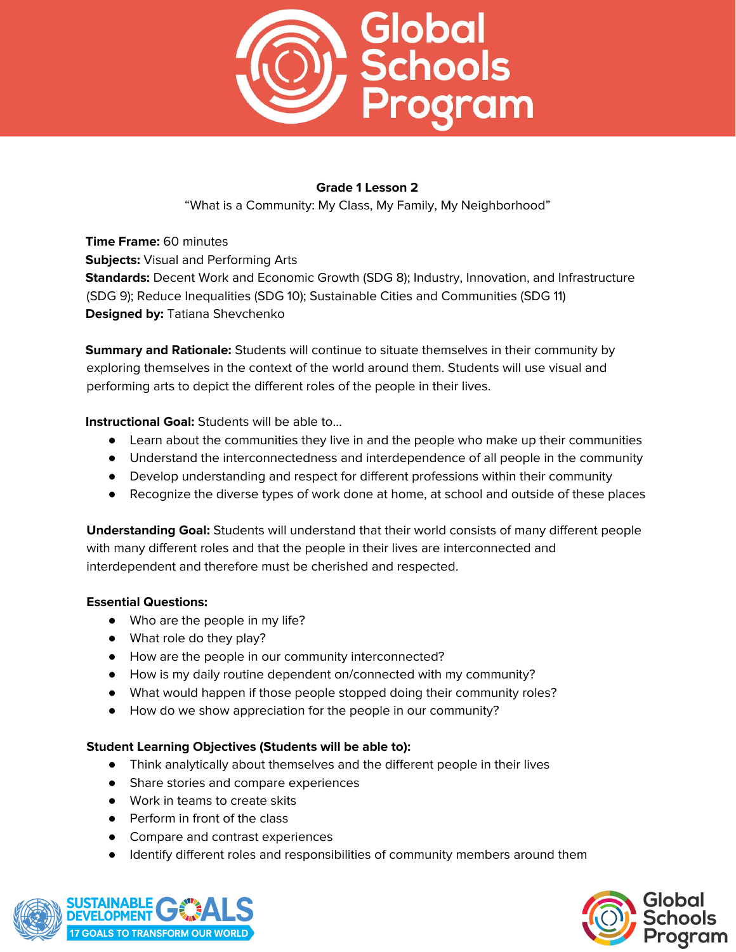

"What is a Community: My Class, My Family, My Neighborhood"

**Time Frame:** 60 minutes **Subjects:** Visual and Performing Arts **Standards:** Decent Work and Economic Growth (SDG 8); Industry, Innovation, and Infrastructure (SDG 9); Reduce Inequalities (SDG 10); Sustainable Cities and Communities (SDG 11) **Designed by:** Tatiana Shevchenko

**Summary and Rationale:** Students will continue to situate themselves in their community by exploring themselves in the context of the world around them. Students will use visual and performing arts to depict the different roles of the people in their lives.

**Instructional Goal:** Students will be able to…

- Learn about the communities they live in and the people who make up their communities
- Understand the interconnectedness and interdependence of all people in the community
- Develop understanding and respect for different professions within their community
- Recognize the diverse types of work done at home, at school and outside of these places

**Understanding Goal:** Students will understand that their world consists of many different people with many different roles and that the people in their lives are interconnected and interdependent and therefore must be cherished and respected.

#### **Essential Questions:**

- Who are the people in my life?
- What role do they play?
- How are the people in our community interconnected?
- How is my daily routine dependent on/connected with my community?
- What would happen if those people stopped doing their community roles?
- How do we show appreciation for the people in our community?

#### **Student Learning Objectives (Students will be able to):**

- Think analytically about themselves and the different people in their lives
- Share stories and compare experiences
- Work in teams to create skits
- Perform in front of the class
- Compare and contrast experiences
- Identify different roles and responsibilities of community members around them



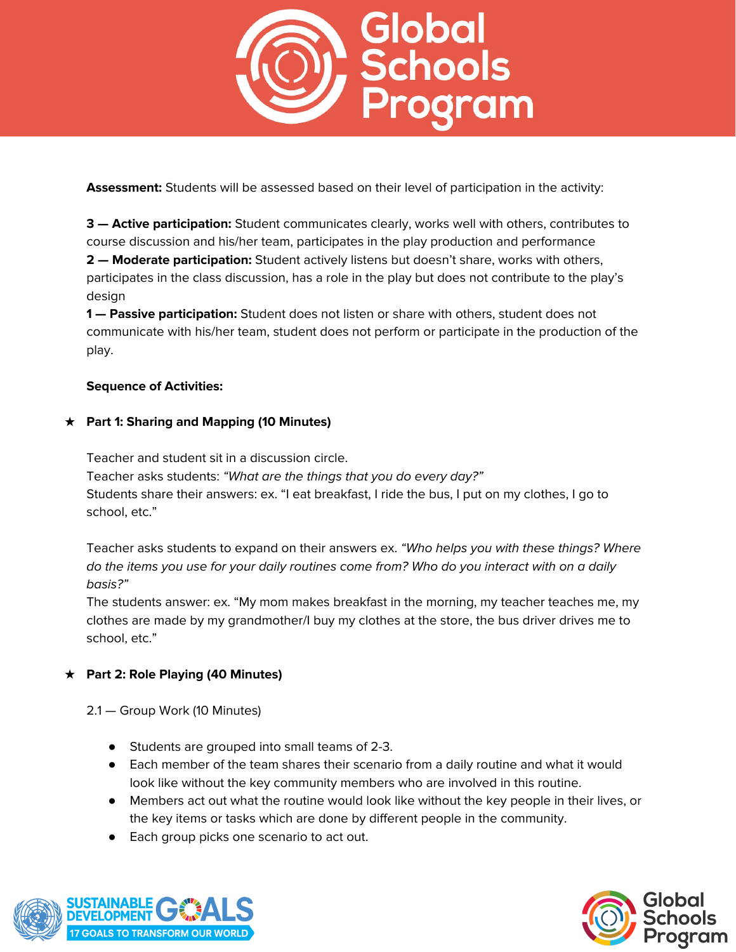

**Assessment:** Students will be assessed based on their level of participation in the activity:

**3 — Active participation:** Student communicates clearly, works well with others, contributes to course discussion and his/her team, participates in the play production and performance **2 — Moderate participation:** Student actively listens but doesn't share, works with others, participates in the class discussion, has a role in the play but does not contribute to the play's design

**1 — Passive participation:** Student does not listen or share with others, student does not communicate with his/her team, student does not perform or participate in the production of the play.

#### **Sequence of Activities:**

#### **★ Part 1: Sharing and Mapping (10 Minutes)**

Teacher and student sit in a discussion circle.

Teacher asks students: "What are the things that you do every day?" Students share their answers: ex. "I eat breakfast, I ride the bus, I put on my clothes, I go to school, etc."

Teacher asks students to expand on their answers ex. "Who helps you with these things? Where do the items you use for your daily routines come from? Who do you interact with on a daily basis?"

The students answer: ex. "My mom makes breakfast in the morning, my teacher teaches me, my clothes are made by my grandmother/I buy my clothes at the store, the bus driver drives me to school, etc."

# **★ Part 2: Role Playing (40 Minutes)**

2.1 — Group Work (10 Minutes)

- Students are grouped into small teams of 2-3.
- Each member of the team shares their scenario from a daily routine and what it would look like without the key community members who are involved in this routine.
- Members act out what the routine would look like without the key people in their lives, or the key items or tasks which are done by different people in the community.
- Each group picks one scenario to act out.



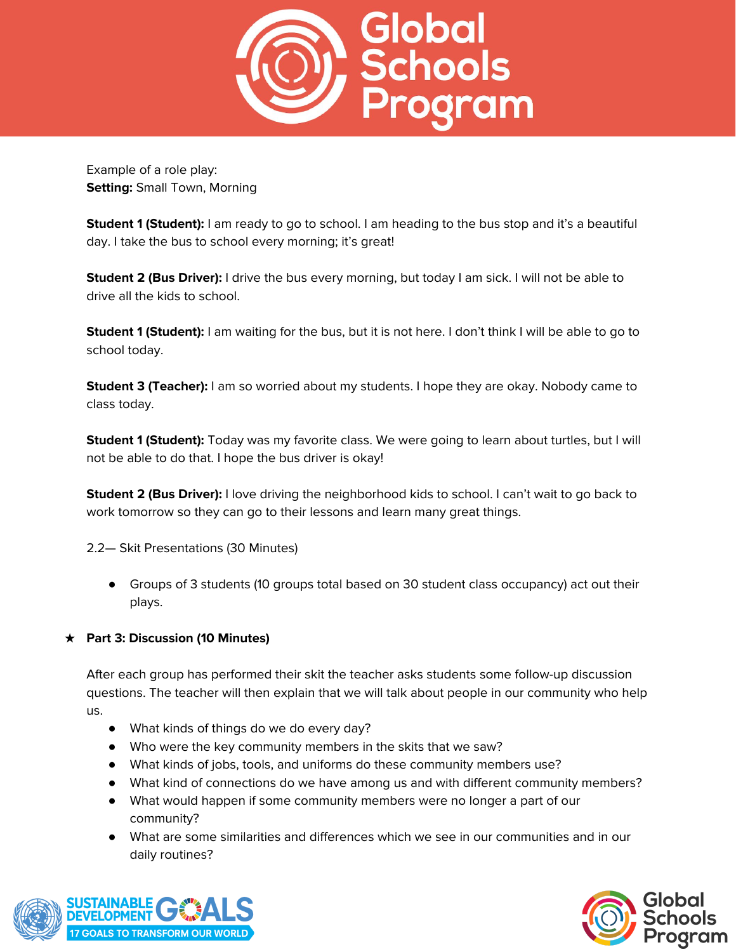

Example of a role play: **Setting:** Small Town, Morning

**Student 1 (Student):** I am ready to go to school. I am heading to the bus stop and it's a beautiful day. I take the bus to school every morning; it's great!

**Student 2 (Bus Driver):** I drive the bus every morning, but today I am sick. I will not be able to drive all the kids to school.

**Student 1 (Student):** I am waiting for the bus, but it is not here. I don't think I will be able to go to school today.

**Student 3 (Teacher):** I am so worried about my students. I hope they are okay. Nobody came to class today.

**Student 1 (Student):** Today was my favorite class. We were going to learn about turtles, but I will not be able to do that. I hope the bus driver is okay!

**Student 2 (Bus Driver):** I love driving the neighborhood kids to school. I can't wait to go back to work tomorrow so they can go to their lessons and learn many great things.

2.2— Skit Presentations (30 Minutes)

● Groups of 3 students (10 groups total based on 30 student class occupancy) act out their plays.

# **★ Part 3: Discussion (10 Minutes)**

After each group has performed their skit the teacher asks students some follow-up discussion questions. The teacher will then explain that we will talk about people in our community who help us.

- What kinds of things do we do every day?
- Who were the key community members in the skits that we saw?
- What kinds of jobs, tools, and uniforms do these community members use?
- What kind of connections do we have among us and with different community members?
- What would happen if some community members were no longer a part of our community?
- What are some similarities and differences which we see in our communities and in our daily routines?



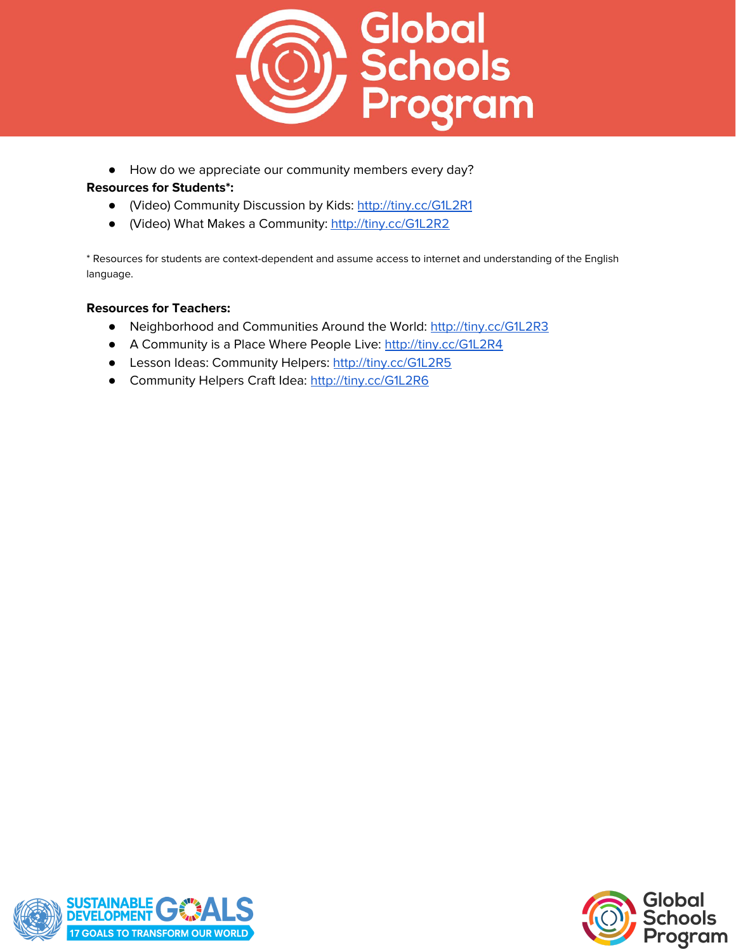

● How do we appreciate our community members every day?

#### **Resources for Students\*:**

- (Video) Community Discussion by Kids: <http://tiny.cc/G1L2R1>
- (Video) What Makes a Community: <http://tiny.cc/G1L2R2>

\* Resources for students are context-dependent and assume access to internet and understanding of the English language.

#### **Resources for Teachers:**

- Neighborhood and Communities Around the World: <http://tiny.cc/G1L2R3>
- A Community is a Place Where People Live: <http://tiny.cc/G1L2R4>
- Lesson Ideas: Community Helpers: <http://tiny.cc/G1L2R5>
- Community Helpers Craft Idea: <http://tiny.cc/G1L2R6>



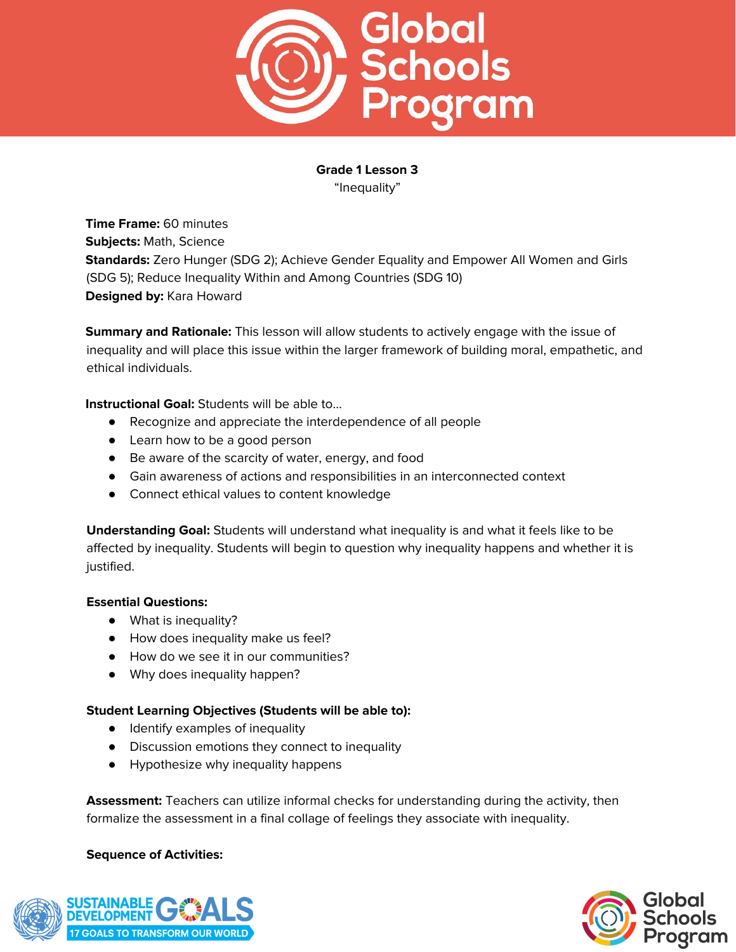

# **Grade 1 Lesson 3** "Inequality"

**Time Frame:** 60 minutes **Subjects:** Math, Science **Standards:** Zero Hunger (SDG 2); Achieve Gender Equality and Empower All Women and Girls (SDG 5); Reduce Inequality Within and Among Countries (SDG 10) **Designed by:** Kara Howard

**Summary and Rationale:** This lesson will allow students to actively engage with the issue of inequality and will place this issue within the larger framework of building moral, empathetic, and ethical individuals.

**Instructional Goal:** Students will be able to…

- Recognize and appreciate the interdependence of all people
- Learn how to be a good person
- Be aware of the scarcity of water, energy, and food
- Gain awareness of actions and responsibilities in an interconnected context
- Connect ethical values to content knowledge

**Understanding Goal:** Students will understand what inequality is and what it feels like to be affected by inequality. Students will begin to question why inequality happens and whether it is justified.

#### **Essential Questions:**

- What is inequality?
- How does inequality make us feel?
- How do we see it in our communities?
- Why does inequality happen?

#### **Student Learning Objectives (Students will be able to):**

- Identify examples of inequality
- Discussion emotions they connect to inequality
- Hypothesize why inequality happens

**Assessment:** Teachers can utilize informal checks for understanding during the activity, then formalize the assessment in a final collage of feelings they associate with inequality.

#### **Sequence of Activities:**



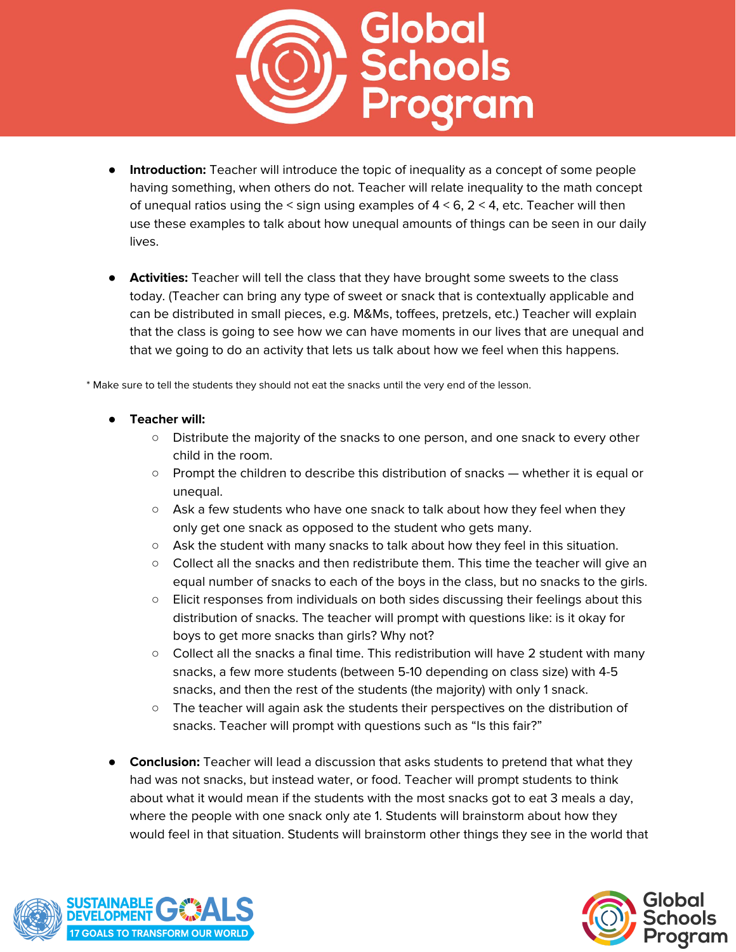

- **Introduction:** Teacher will introduce the topic of inequality as a concept of some people having something, when others do not. Teacher will relate inequality to the math concept of unequal ratios using the  $\leq$  sign using examples of  $4 \leq 6$ ,  $2 \leq 4$ , etc. Teacher will then use these examples to talk about how unequal amounts of things can be seen in our daily lives.
- **Activities:** Teacher will tell the class that they have brought some sweets to the class today. (Teacher can bring any type of sweet or snack that is contextually applicable and can be distributed in small pieces, e.g. M&Ms, toffees, pretzels, etc.) Teacher will explain that the class is going to see how we can have moments in our lives that are unequal and that we going to do an activity that lets us talk about how we feel when this happens.

\* Make sure to tell the students they should not eat the snacks until the very end of the lesson.

- **● Teacher will:**
	- Distribute the majority of the snacks to one person, and one snack to every other child in the room.
	- Prompt the children to describe this distribution of snacks whether it is equal or unequal.
	- $\circ$  Ask a few students who have one snack to talk about how they feel when they only get one snack as opposed to the student who gets many.
	- Ask the student with many snacks to talk about how they feel in this situation.
	- Collect all the snacks and then redistribute them. This time the teacher will give an equal number of snacks to each of the boys in the class, but no snacks to the girls.
	- Elicit responses from individuals on both sides discussing their feelings about this distribution of snacks. The teacher will prompt with questions like: is it okay for boys to get more snacks than girls? Why not?
	- Collect all the snacks a final time. This redistribution will have 2 student with many snacks, a few more students (between 5-10 depending on class size) with 4-5 snacks, and then the rest of the students (the majority) with only 1 snack.
	- The teacher will again ask the students their perspectives on the distribution of snacks. Teacher will prompt with questions such as "Is this fair?"
- **Conclusion:** Teacher will lead a discussion that asks students to pretend that what they had was not snacks, but instead water, or food. Teacher will prompt students to think about what it would mean if the students with the most snacks got to eat 3 meals a day, where the people with one snack only ate 1. Students will brainstorm about how they would feel in that situation. Students will brainstorm other things they see in the world that



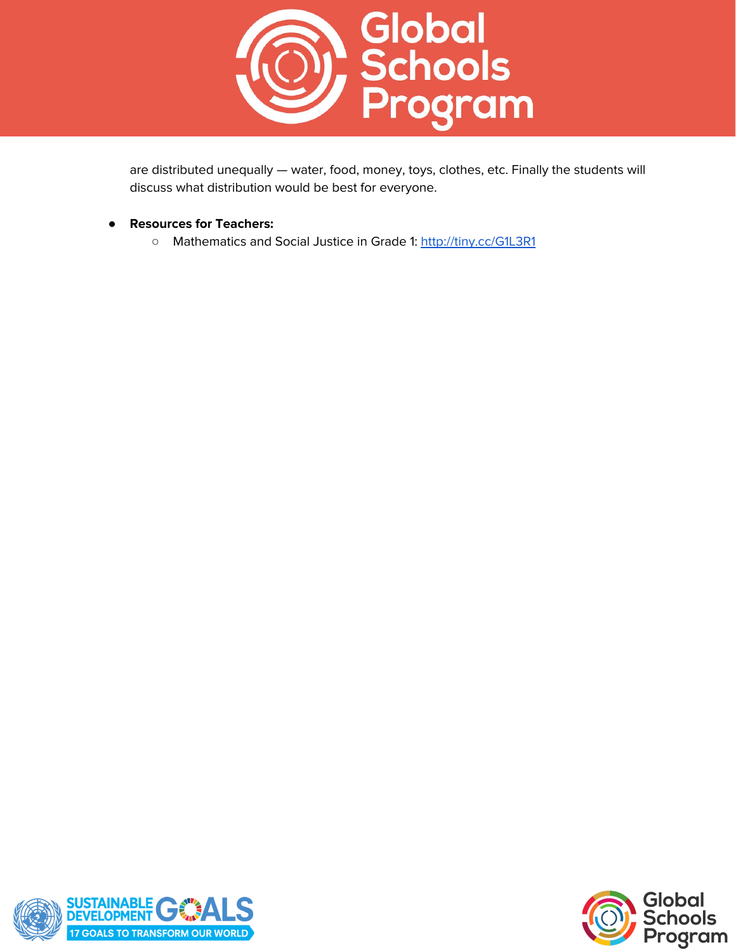

are distributed unequally — water, food, money, toys, clothes, etc. Finally the students will discuss what distribution would be best for everyone.

- **Resources for Teachers:**
	- Mathematics and Social Justice in Grade 1: <http://tiny.cc/G1L3R1>



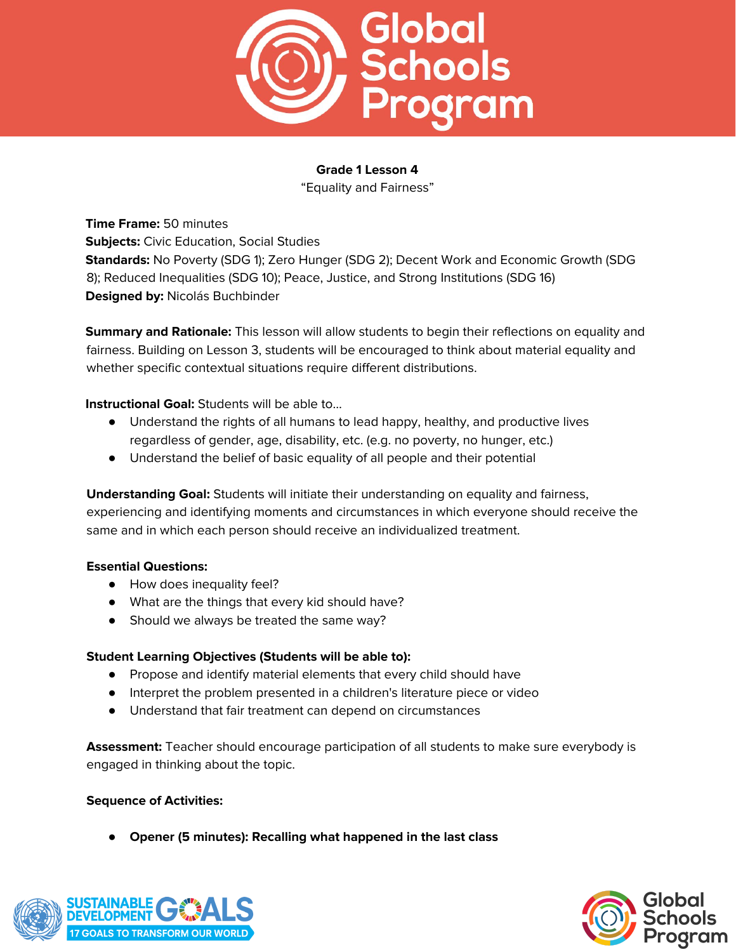

"Equality and Fairness"

**Time Frame:** 50 minutes **Subjects:** Civic Education, Social Studies **Standards:** No Poverty (SDG 1); Zero Hunger (SDG 2); Decent Work and Economic Growth (SDG 8); Reduced Inequalities (SDG 10); Peace, Justice, and Strong Institutions (SDG 16) **Designed by:** Nicolás Buchbinder

**Summary and Rationale:** This lesson will allow students to begin their reflections on equality and fairness. Building on Lesson 3, students will be encouraged to think about material equality and whether specific contextual situations require different distributions.

## **Instructional Goal:** Students will be able to…

- Understand the rights of all humans to lead happy, healthy, and productive lives regardless of gender, age, disability, etc. (e.g. no poverty, no hunger, etc.)
- Understand the belief of basic equality of all people and their potential

**Understanding Goal:** Students will initiate their understanding on equality and fairness, experiencing and identifying moments and circumstances in which everyone should receive the same and in which each person should receive an individualized treatment.

#### **Essential Questions:**

- How does inequality feel?
- What are the things that every kid should have?
- Should we always be treated the same way?

#### **Student Learning Objectives (Students will be able to):**

- Propose and identify material elements that every child should have
- Interpret the problem presented in a children's literature piece or video
- Understand that fair treatment can depend on circumstances

**Assessment:** Teacher should encourage participation of all students to make sure everybody is engaged in thinking about the topic.

#### **Sequence of Activities:**

**● Opener (5 minutes): Recalling what happened in the last class**



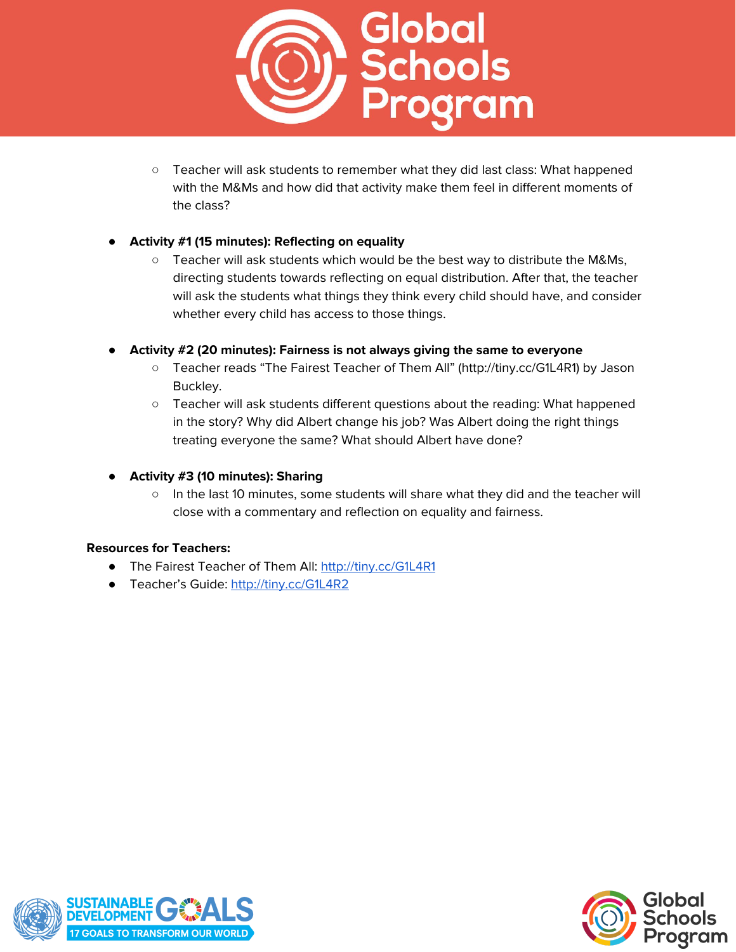

○ Teacher will ask students to remember what they did last class: What happened with the M&Ms and how did that activity make them feel in different moments of the class?

# **● Activity #1 (15 minutes): Reflecting on equality**

- Teacher will ask students which would be the best way to distribute the M&Ms, directing students towards reflecting on equal distribution. After that, the teacher will ask the students what things they think every child should have, and consider whether every child has access to those things.
- **● Activity #2 (20 minutes): Fairness is not always giving the same to everyone**
	- Teacher reads "The Fairest Teacher of Them All" (http://tiny.cc/G1L4R1) by Jason Buckley.
	- Teacher will ask students different questions about the reading: What happened in the story? Why did Albert change his job? Was Albert doing the right things treating everyone the same? What should Albert have done?
- **● Activity #3 (10 minutes): Sharing**
	- In the last 10 minutes, some students will share what they did and the teacher will close with a commentary and reflection on equality and fairness.

#### **Resources for Teachers:**

- The Fairest Teacher of Them All: <http://tiny.cc/G1L4R1>
- Teacher's Guide: <http://tiny.cc/G1L4R2>



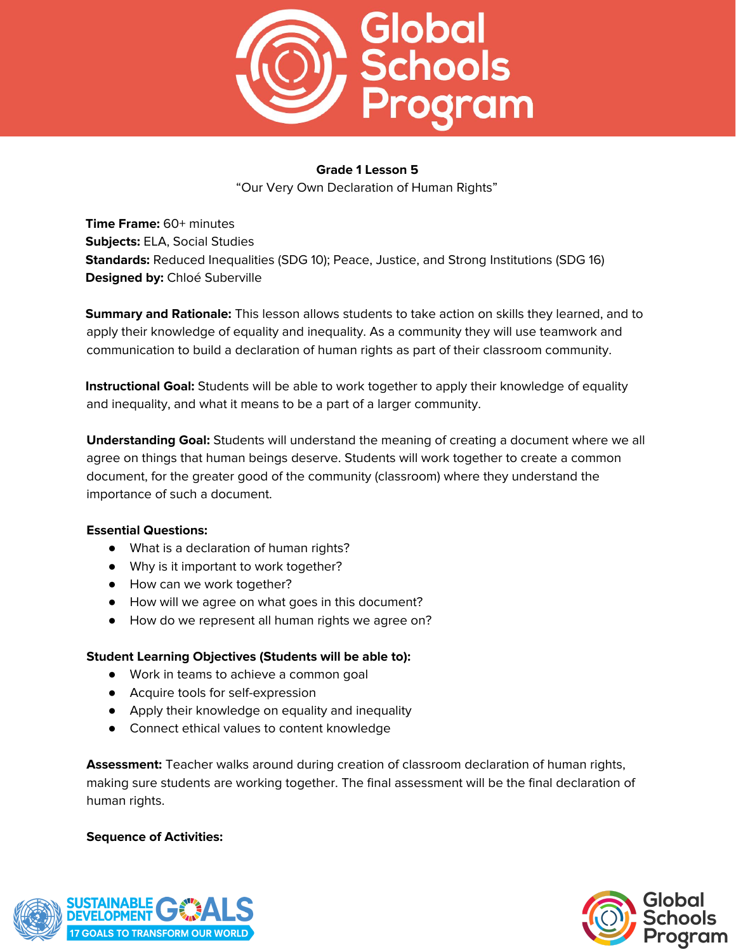

"Our Very Own Declaration of Human Rights"

**Time Frame:** 60+ minutes **Subjects:** ELA, Social Studies **Standards:** Reduced Inequalities (SDG 10); Peace, Justice, and Strong Institutions (SDG 16) **Designed by:** Chloé Suberville

**Summary and Rationale:** This lesson allows students to take action on skills they learned, and to apply their knowledge of equality and inequality. As a community they will use teamwork and communication to build a declaration of human rights as part of their classroom community.

**Instructional Goal:** Students will be able to work together to apply their knowledge of equality and inequality, and what it means to be a part of a larger community.

**Understanding Goal:** Students will understand the meaning of creating a document where we all agree on things that human beings deserve. Students will work together to create a common document, for the greater good of the community (classroom) where they understand the importance of such a document.

#### **Essential Questions:**

- What is a declaration of human rights?
- Why is it important to work together?
- How can we work together?
- How will we agree on what goes in this document?
- How do we represent all human rights we agree on?

#### **Student Learning Objectives (Students will be able to):**

- Work in teams to achieve a common goal
- Acquire tools for self-expression
- Apply their knowledge on equality and inequality
- Connect ethical values to content knowledge

**Assessment:** Teacher walks around during creation of classroom declaration of human rights, making sure students are working together. The final assessment will be the final declaration of human rights.

#### **Sequence of Activities:**